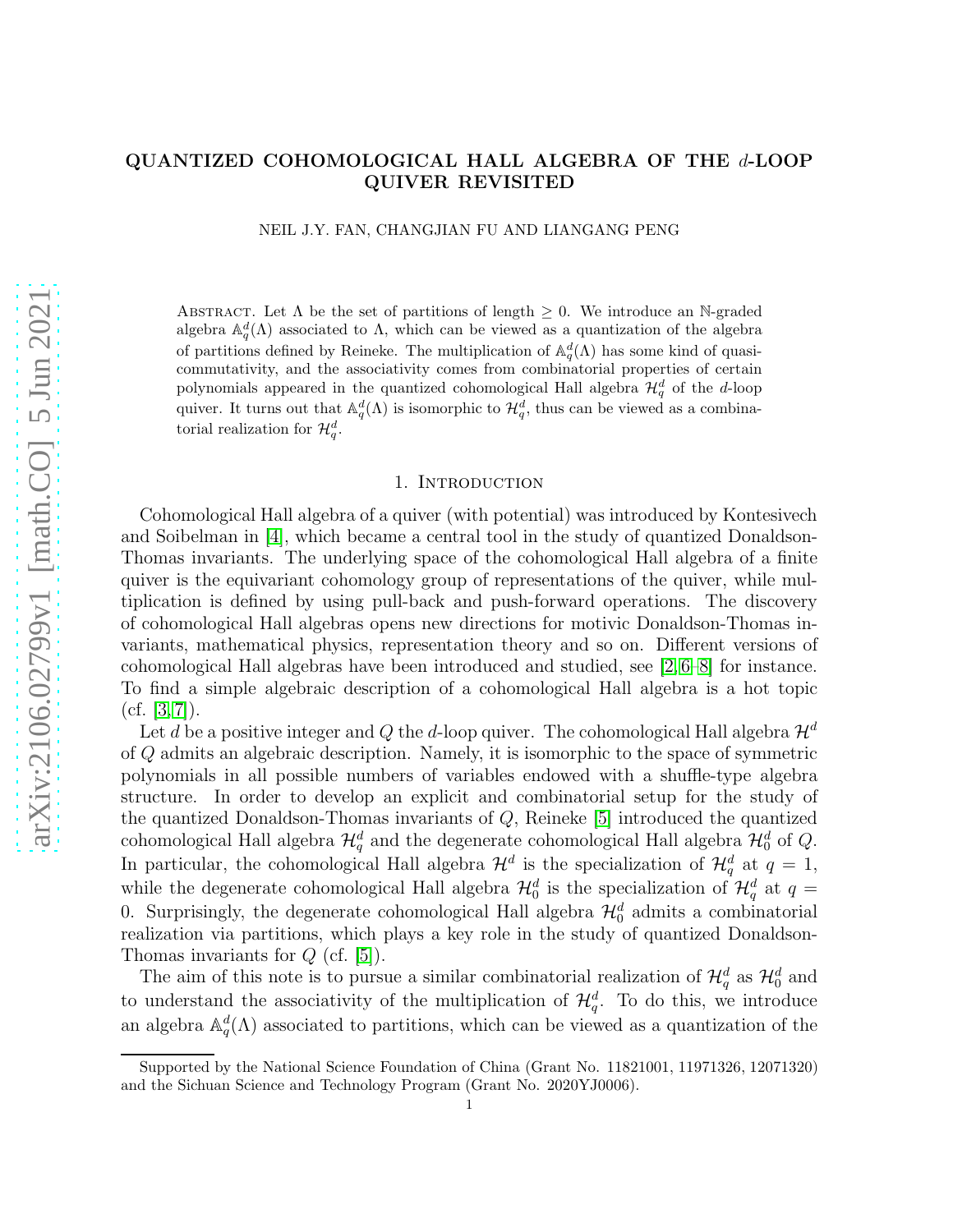# arXiv:2106.02799v1 [math.CO] 5 Jun 2021 [arXiv:2106.02799v1 \[math.CO\] 5 Jun 2021](http://arxiv.org/abs/2106.02799v1)

## QUANTIZED COHOMOLOGICAL HALL ALGEBRA OF THE d-LOOP QUIVER REVISITED

NEIL J.Y. FAN, CHANGJIAN FU AND LIANGANG PENG

ABSTRACT. Let  $\Lambda$  be the set of partitions of length  $\geq 0$ . We introduce an N-graded algebra  $\mathbb{A}_q^d(\Lambda)$  associated to  $\Lambda$ , which can be viewed as a quantization of the algebra of partitions defined by Reineke. The multiplication of  $\mathbb{A}_q^d(\Lambda)$  has some kind of quasicommutativity, and the associativity comes from combinatorial properties of certain polynomials appeared in the quantized cohomological Hall algebra  $\mathcal{H}_q^d$  of the d-loop quiver. It turns out that  $\mathbb{A}_q^d(\Lambda)$  is isomorphic to  $\mathcal{H}_q^d$ , thus can be viewed as a combinatorial realization for  $\mathcal{H}_q^d$ .

### 1. INTRODUCTION

Cohomological Hall algebra of a quiver (with potential) was introduced by Kontesivech and Soibelman in [\[4\]](#page-11-0), which became a central tool in the study of quantized Donaldson-Thomas invariants. The underlying space of the cohomological Hall algebra of a finite quiver is the equivariant cohomology group of representations of the quiver, while multiplication is defined by using pull-back and push-forward operations. The discovery of cohomological Hall algebras opens new directions for motivic Donaldson-Thomas invariants, mathematical physics, representation theory and so on. Different versions of cohomological Hall algebras have been introduced and studied, see [\[2,](#page-10-0) [6–](#page-11-1)[8\]](#page-11-2) for instance. To find a simple algebraic description of a cohomological Hall algebra is a hot topic  $(cf. |3, 7|).$ 

Let d be a positive integer and Q the d-loop quiver. The cohomological Hall algebra  $\mathcal{H}^d$ of Q admits an algebraic description. Namely, it is isomorphic to the space of symmetric polynomials in all possible numbers of variables endowed with a shuffle-type algebra structure. In order to develop an explicit and combinatorial setup for the study of the quantized Donaldson-Thomas invariants of Q, Reineke [\[5\]](#page-11-4) introduced the quantized cohomological Hall algebra  $\mathcal{H}^d_q$  and the degenerate cohomological Hall algebra  $\mathcal{H}^d_0$  of  $Q$ . In particular, the cohomological Hall algebra  $\mathcal{H}^d$  is the specialization of  $\mathcal{H}^d_q$  at  $q=1$ , while the degenerate cohomological Hall algebra  $\mathcal{H}^d_0$  is the specialization of  $\mathcal{H}^d_q$  at  $q =$ 0. Surprisingly, the degenerate cohomological Hall algebra  $\mathcal{H}^d_0$  admits a combinatorial realization via partitions, which plays a key role in the study of quantized Donaldson-Thomas invariants for  $Q$  (cf. [\[5\]](#page-11-4)).

The aim of this note is to pursue a similar combinatorial realization of  $\mathcal{H}^d_q$  as  $\mathcal{H}^d_0$  and to understand the associativity of the multiplication of  $\mathcal{H}_q^d$ . To do this, we introduce an algebra  $\mathbb{A}_q^d(\Lambda)$  associated to partitions, which can be viewed as a quantization of the

Supported by the National Science Foundation of China (Grant No. 11821001, 11971326, 12071320) and the Sichuan Science and Technology Program (Grant No. 2020YJ0006).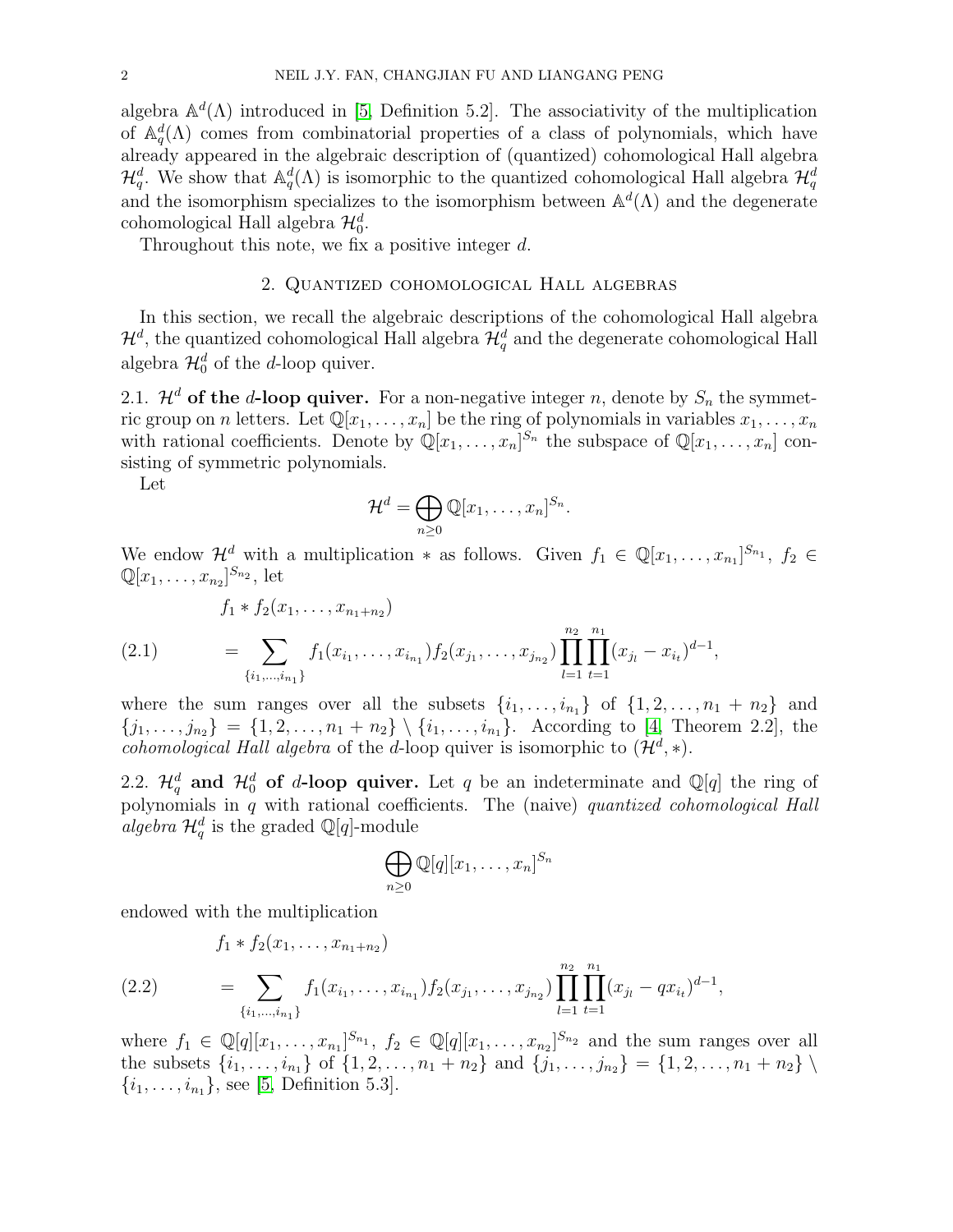algebra  $\mathbb{A}^d(\Lambda)$  introduced in [\[5,](#page-11-4) Definition 5.2]. The associativity of the multiplication of  $\mathbb{A}_q^d(\Lambda)$  comes from combinatorial properties of a class of polynomials, which have already appeared in the algebraic description of (quantized) cohomological Hall algebra  $\mathcal{H}_q^d$ . We show that  $\mathbb{A}_q^d(\Lambda)$  is isomorphic to the quantized cohomological Hall algebra  $\mathcal{H}_q^d$ and the isomorphism specializes to the isomorphism between  $\mathbb{A}^d(\Lambda)$  and the degenerate cohomological Hall algebra  $\mathcal{H}^d_0$ .

Throughout this note, we fix a positive integer  $d$ .

### 2. Quantized cohomological Hall algebras

In this section, we recall the algebraic descriptions of the cohomological Hall algebra  $\mathcal{H}^d$ , the quantized cohomological Hall algebra  $\mathcal{H}^d_q$  and the degenerate cohomological Hall algebra  $\mathcal{H}_0^d$  of the d-loop quiver.

2.1.  $\mathcal{H}^d$  of the d-loop quiver. For a non-negative integer n, denote by  $S_n$  the symmetric group on n letters. Let  $\mathbb{Q}[x_1,\ldots,x_n]$  be the ring of polynomials in variables  $x_1,\ldots,x_n$ with rational coefficients. Denote by  $\mathbb{Q}[x_1,\ldots,x_n]^{S_n}$  the subspace of  $\mathbb{Q}[x_1,\ldots,x_n]$  consisting of symmetric polynomials.

Let

$$
\mathcal{H}^d = \bigoplus_{n \geq 0} \mathbb{Q}[x_1, \dots, x_n]^{S_n}.
$$

We endow  $\mathcal{H}^d$  with a multiplication  $*$  as follows. Given  $f_1 \in \mathbb{Q}[x_1,\ldots,x_{n_1}]^{S_{n_1}}, f_2 \in$  $\mathbb{Q}[x_1,\ldots,x_{n_2}]^{S_{n_2}}, \text{ let }$ 

$$
(2.1) \qquad \qquad f_1 * f_2(x_1, \ldots, x_{n_1+n_2})
$$
\n
$$
= \sum_{\{i_1, \ldots, i_{n_1}\}} f_1(x_{i_1}, \ldots, x_{i_{n_1}}) f_2(x_{j_1}, \ldots, x_{j_{n_2}}) \prod_{l=1}^{n_2} \prod_{t=1}^{n_1} (x_{j_l} - x_{i_l})^{d-1},
$$

where the sum ranges over all the subsets  $\{i_1, \ldots, i_{n_1}\}$  of  $\{1, 2, \ldots, n_1 + n_2\}$  and  ${j_1, \ldots, j_{n_2}} = \{1, 2, \ldots, n_1 + n_2\} \setminus \{i_1, \ldots, i_{n_1}\}.$  According to [\[4,](#page-11-0) Theorem 2.2], the *cohomological Hall algebra* of the *d*-loop quiver is isomorphic to  $(\mathcal{H}^d, *)$ .

2.2.  $\mathcal{H}_q^d$  and  $\mathcal{H}_0^d$  of d-loop quiver. Let q be an indeterminate and  $\mathbb{Q}[q]$  the ring of polynomials in q with rational coefficients. The (naive) quantized cohomological Hall algebra  $\mathcal{H}_q^d$  is the graded  $\mathbb{Q}[q]$ -module

$$
\bigoplus_{n\geq 0}\mathbb{Q}[q][x_1,\ldots,x_n]^{S_n}
$$

endowed with the multiplication

$$
f_1 * f_2(x_1,\ldots,x_{n_1+n_2})
$$

<span id="page-1-0"></span>(2.2) = 
$$
\sum_{\{i_1,\dots,i_{n_1}\}} f_1(x_{i_1},\dots,x_{i_{n_1}}) f_2(x_{j_1},\dots,x_{j_{n_2}}) \prod_{l=1}^{n_2} \prod_{t=1}^{n_1} (x_{j_l} - qx_{i_l})^{d-1},
$$

where  $f_1 \in \mathbb{Q}[q][x_1,\ldots,x_{n_1}]^{S_{n_1}},\ f_2 \in \mathbb{Q}[q][x_1,\ldots,x_{n_2}]^{S_{n_2}}$  and the sum ranges over all the subsets  $\{i_1, \ldots, i_{n_1}\}$  of  $\{1, 2, \ldots, n_1 + n_2\}$  and  $\{j_1, \ldots, j_{n_2}\} = \{1, 2, \ldots, n_1 + n_2\} \setminus$  $\{i_1, \ldots, i_{n_1}\}\text{, see [5, Definition 5.3].}$  $\{i_1, \ldots, i_{n_1}\}\text{, see [5, Definition 5.3].}$  $\{i_1, \ldots, i_{n_1}\}\text{, see [5, Definition 5.3].}$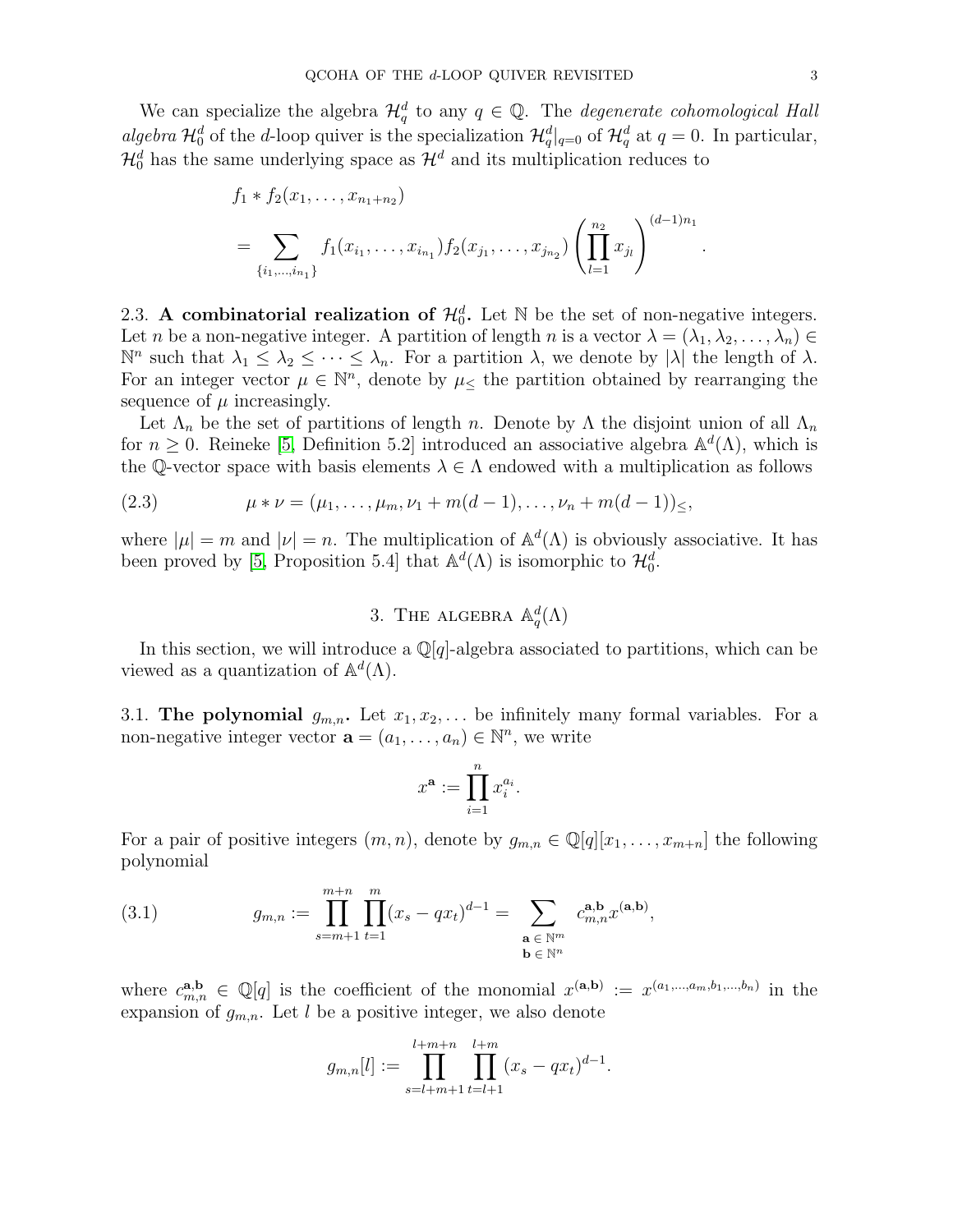We can specialize the algebra  $\mathcal{H}_q^d$  to any  $q \in \mathbb{Q}$ . The *degenerate cohomological Hall* algebra  $\mathcal{H}_0^d$  of the d-loop quiver is the specialization  $\mathcal{H}_q^d|_{q=0}$  of  $\mathcal{H}_q^d$  at  $q=0$ . In particular,  $\mathcal{H}_0^d$  has the same underlying space as  $\mathcal{H}^d$  and its multiplication reduces to

$$
f_1 * f_2(x_1, ..., x_{n_1+n_2})
$$
  
=  $\sum_{\{i_1,...,i_{n_1}\}} f_1(x_{i_1},..., x_{i_{n_1}}) f_2(x_{j_1},..., x_{j_{n_2}}) \left(\prod_{l=1}^{n_2} x_{j_l}\right)^{(d-1)n_1}$ .

2.3. A combinatorial realization of  $\mathcal{H}_{0}^{d}$ . Let N be the set of non-negative integers. Let n be a non-negative integer. A partition of length n is a vector  $\lambda = (\lambda_1, \lambda_2, \dots, \lambda_n) \in$  $\mathbb{N}^n$  such that  $\lambda_1 \leq \lambda_2 \leq \cdots \leq \lambda_n$ . For a partition  $\lambda$ , we denote by  $|\lambda|$  the length of  $\lambda$ . For an integer vector  $\mu \in \mathbb{N}^n$ , denote by  $\mu_{\leq}$  the partition obtained by rearranging the sequence of  $\mu$  increasingly.

Let  $\Lambda_n$  be the set of partitions of length n. Denote by  $\Lambda$  the disjoint union of all  $\Lambda_n$ for  $n \geq 0$ . Reineke [\[5,](#page-11-4) Definition 5.2] introduced an associative algebra  $\mathbb{A}^d(\Lambda)$ , which is the Q-vector space with basis elements  $\lambda \in \Lambda$  endowed with a multiplication as follows

(2.3) 
$$
\mu * \nu = (\mu_1, \dots, \mu_m, \nu_1 + m(d-1), \dots, \nu_n + m(d-1))_{\leq},
$$

where  $|\mu| = m$  and  $|\nu| = n$ . The multiplication of  $\mathbb{A}^d(\Lambda)$  is obviously associative. It has been proved by [\[5,](#page-11-4) Proposition 5.4] that  $\mathbb{A}^d(\Lambda)$  is isomorphic to  $\mathcal{H}_0^d$ .

# 3. The algebra  $\mathbb{A}_q^d(\Lambda)$

In this section, we will introduce a  $\mathbb{Q}[q]$ -algebra associated to partitions, which can be viewed as a quantization of  $\mathbb{A}^d(\Lambda)$ .

3.1. The polynomial  $g_{m,n}$ . Let  $x_1, x_2, \ldots$  be infinitely many formal variables. For a non-negative integer vector  $\mathbf{a} = (a_1, \dots, a_n) \in \mathbb{N}^n$ , we write

$$
x^{\mathbf{a}} := \prod_{i=1}^{n} x_i^{a_i}.
$$

For a pair of positive integers  $(m, n)$ , denote by  $g_{m,n} \in \mathbb{Q}[q][x_1, \ldots, x_{m+n}]$  the following polynomial

<span id="page-2-0"></span>(3.1) 
$$
g_{m,n} := \prod_{s=m+1}^{m+n} \prod_{t=1}^{m} (x_s - qx_t)^{d-1} = \sum_{\substack{\mathbf{a} \in \mathbb{N}^m \\ \mathbf{b} \in \mathbb{N}^n}} c_{m,n}^{\mathbf{a},\mathbf{b}} x^{(\mathbf{a},\mathbf{b})},
$$

where  $c_{m,n}^{\mathbf{a},\mathbf{b}} \in \mathbb{Q}[q]$  is the coefficient of the monomial  $x^{(\mathbf{a},\mathbf{b})} := x^{(a_1,...,a_m,b_1,...,b_n)}$  in the expansion of  $g_{m,n}$ . Let l be a positive integer, we also denote

$$
g_{m,n}[l] := \prod_{s=l+m+1}^{l+m+n} \prod_{t=l+1}^{l+m} (x_s - qx_t)^{d-1}.
$$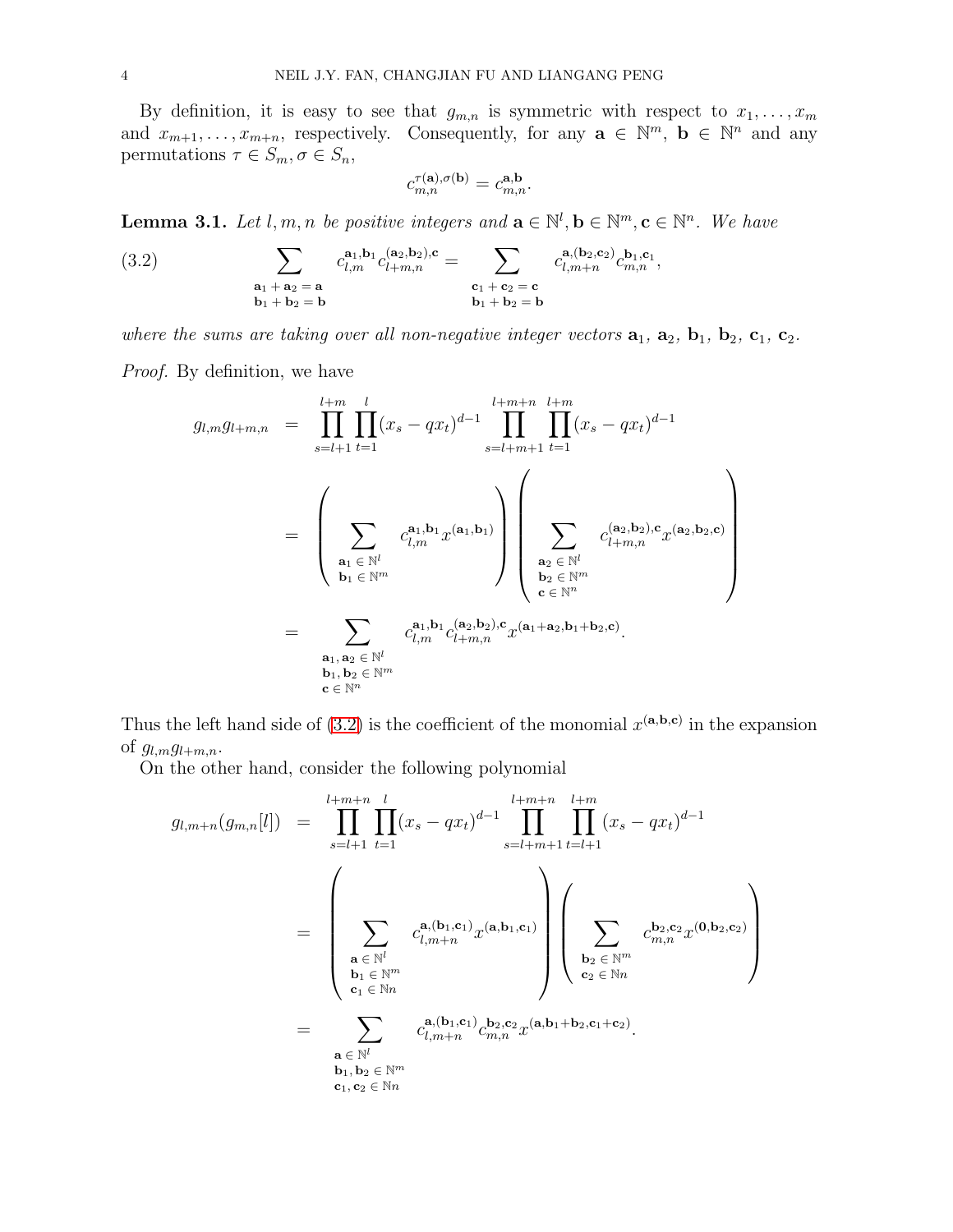By definition, it is easy to see that  $g_{m,n}$  is symmetric with respect to  $x_1, \ldots, x_m$ and  $x_{m+1}, \ldots, x_{m+n}$ , respectively. Consequently, for any  $\mathbf{a} \in \mathbb{N}^m$ ,  $\mathbf{b} \in \mathbb{N}^n$  and any permutations  $\tau \in S_m$ ,  $\sigma \in S_n$ ,

$$
c_{m,n}^{\tau(\mathbf{a}),\sigma(\mathbf{b})} = c_{m,n}^{\mathbf{a},\mathbf{b}}.
$$

<span id="page-3-1"></span>**Lemma 3.1.** Let  $l, m, n$  be positive integers and  $\mathbf{a} \in \mathbb{N}^l$ ,  $\mathbf{b} \in \mathbb{N}^m$ ,  $\mathbf{c} \in \mathbb{N}^n$ . We have

<span id="page-3-0"></span>(3.2) 
$$
\sum_{\substack{\mathbf{a}_1 + \mathbf{a}_2 = \mathbf{a} \\ \mathbf{b}_1 + \mathbf{b}_2 = \mathbf{b}}} c_{l,m}^{\mathbf{a}_1, \mathbf{b}_1} c_{l+m,n}^{(\mathbf{a}_2, \mathbf{b}_2), \mathbf{c}} = \sum_{\substack{\mathbf{c}_1 + \mathbf{c}_2 = \mathbf{c} \\ \mathbf{b}_1 + \mathbf{b}_2 = \mathbf{b}}} c_{l,m+n}^{\mathbf{a}, (\mathbf{b}_2, \mathbf{c}_2)} c_{m,n}^{\mathbf{b}_1, \mathbf{c}_1},
$$

where the sums are taking over all non-negative integer vectors  $\mathbf{a}_1$ ,  $\mathbf{a}_2$ ,  $\mathbf{b}_1$ ,  $\mathbf{b}_2$ ,  $\mathbf{c}_1$ ,  $\mathbf{c}_2$ .

Proof. By definition, we have

$$
g_{l,m}g_{l+m,n} = \prod_{s=l+1}^{l+m} \prod_{t=1}^{l} (x_s - qx_t)^{d-1} \prod_{s=l+m+1}^{l+m} \prod_{t=1}^{l+m} (x_s - qx_t)^{d-1}
$$
  

$$
= \left(\sum_{\substack{\mathbf{a}_1 \in \mathbb{N}^l \\ \mathbf{b}_1 \in \mathbb{N}^m}} c_{l,m}^{\mathbf{a}_1, \mathbf{b}_1} x^{(\mathbf{a}_1, \mathbf{b}_1)}\right) \left(\sum_{\substack{\mathbf{a}_2 \in \mathbb{N}^l \\ \mathbf{b}_2 \in \mathbb{N}^m \\ \mathbf{c} \in \mathbb{N}^n}} c_{l+m,n}^{(\mathbf{a}_2, \mathbf{b}_2), \mathbf{c}} c_{l+m,n}^{(\mathbf{a}_2, \mathbf{b}_2), \mathbf{c}_2} x^{(\mathbf{a}_2, \mathbf{b}_2, \mathbf{c})}\right)
$$
  

$$
= \sum_{\substack{\mathbf{a}_1, \mathbf{a}_2 \in \mathbb{N}^l \\ \mathbf{b}_1, \mathbf{b}_2 \in \mathbb{N}^m}} c_{l,m}^{\mathbf{a}_1, \mathbf{b}_1} c_{l+m,n}^{(\mathbf{a}_2, \mathbf{b}_2), \mathbf{c}_2} (a_1 + a_2, b_1 + b_2, \mathbf{c})}.
$$

Thus the left hand side of [\(3.2\)](#page-3-0) is the coefficient of the monomial  $x^{(a,b,c)}$  in the expansion of  $g_{l,m}g_{l+m,n}$ .

On the other hand, consider the following polynomial

$$
g_{l,m+n}(g_{m,n}[l]) = \prod_{s=l+1}^{l+m+n} \prod_{t=1}^{l} (x_s - qx_t)^{d-1} \prod_{s=l+m+1}^{l+m} \prod_{t=l+1}^{l+m} (x_s - qx_t)^{d-1}
$$
  

$$
= \left(\sum_{\substack{\mathbf{a} \in \mathbb{N}^l \\ \mathbf{b}_1 \in \mathbb{N}^m \\ \mathbf{b}_1 \in \mathbb{N}^n}} c_{l,m+n}^{\mathbf{a},(\mathbf{b}_1,\mathbf{c}_1)} x^{(\mathbf{a},\mathbf{b}_1,\mathbf{c}_1)}\right) \left(\sum_{\substack{\mathbf{b}_2 \in \mathbb{N}^m \\ \mathbf{c}_2 \in \mathbb{N}^n}} c_{m,n}^{\mathbf{b}_2,\mathbf{c}_2} x^{(\mathbf{0},\mathbf{b}_2,\mathbf{c}_2)}\right)
$$
  

$$
= \sum_{\substack{\mathbf{a} \in \mathbb{N}^l \\ \mathbf{b}_1, \mathbf{b}_2 \in \mathbb{N}^m}} c_{l,m+n}^{\mathbf{a},(\mathbf{b}_1,\mathbf{c}_1)} c_{m,n}^{\mathbf{b}_2,\mathbf{c}_2} x^{(\mathbf{a},\mathbf{b}_1+\mathbf{b}_2,\mathbf{c}_1+\mathbf{c}_2)}.
$$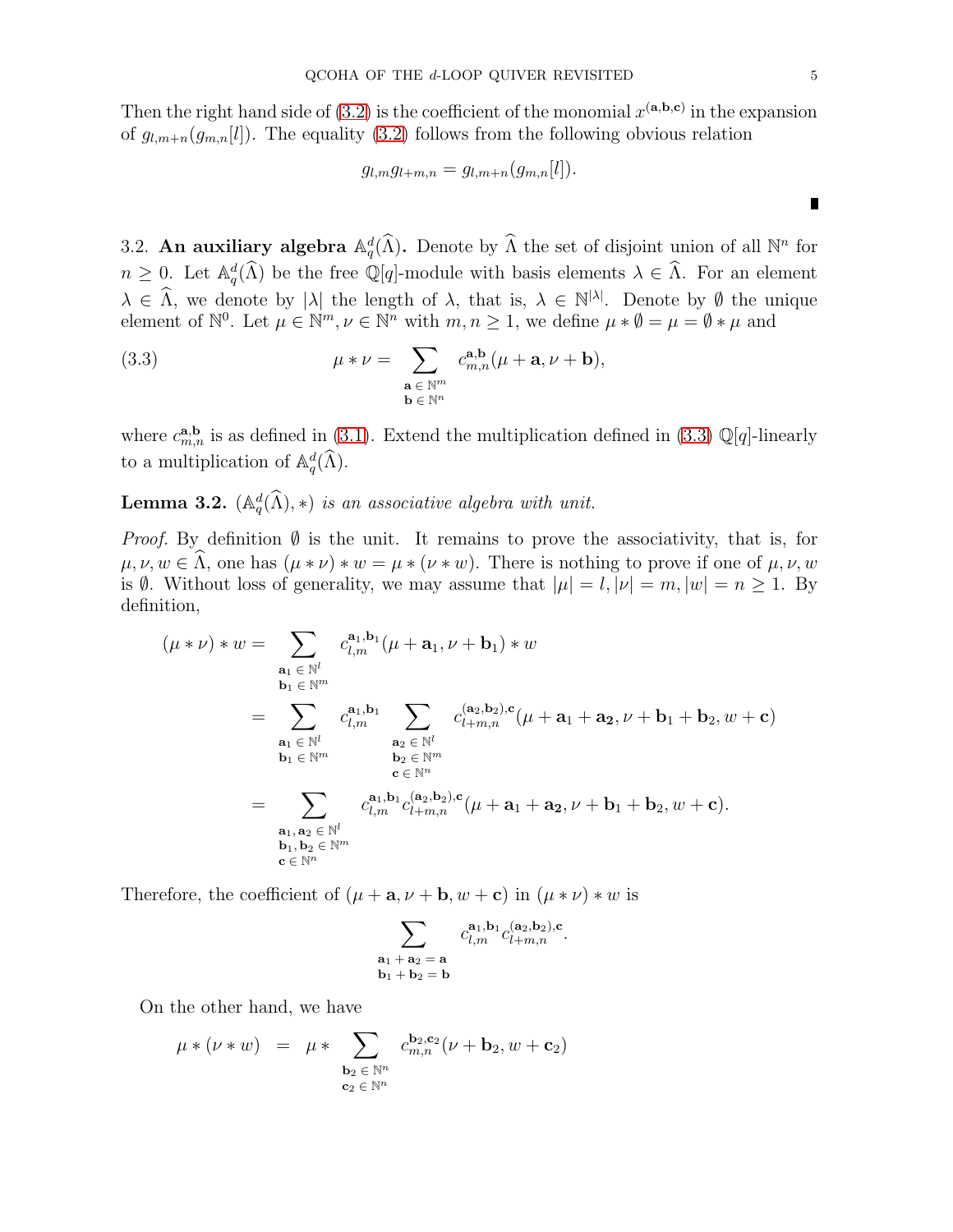Then the right hand side of [\(3.2\)](#page-3-0) is the coefficient of the monomial  $x^{(a,b,c)}$  in the expansion of  $g_{l,m+n}(g_{m,n}[l])$ . The equality [\(3.2\)](#page-3-0) follows from the following obvious relation

$$
g_{l,m}g_{l+m,n}=g_{l,m+n}(g_{m,n}[l]).
$$

3.2. An auxiliary algebra  $\mathbb{A}_q^d(\hat{\Lambda})$ . Denote by  $\hat{\Lambda}$  the set of disjoint union of all  $\mathbb{N}^n$  for  $n \geq 0$ . Let  $\mathbb{A}_q^d(\hat{\Lambda})$  be the free Q[q]-module with basis elements  $\lambda \in \hat{\Lambda}$ . For an element  $\lambda \in \hat{\Lambda}$ , we denote by  $|\lambda|$  the length of  $\lambda$ , that is,  $\lambda \in \mathbb{N}^{|\lambda|}$ . Denote by  $\emptyset$  the unique element of  $\mathbb{N}^0$ . Let  $\mu \in \mathbb{N}^m$ ,  $\nu \in \mathbb{N}^n$  with  $m, n \geq 1$ , we define  $\mu * \emptyset = \mu = \emptyset * \mu$  and

<span id="page-4-0"></span>(3.3) 
$$
\mu * \nu = \sum_{\substack{\mathbf{a} \in \mathbb{N}^m \\ \mathbf{b} \in \mathbb{N}^n}} c_{m,n}^{\mathbf{a},\mathbf{b}} (\mu + \mathbf{a}, \nu + \mathbf{b}),
$$

where  $c_{m,n}^{\mathbf{a},\mathbf{b}}$  is as defined in [\(3.1\)](#page-2-0). Extend the multiplication defined in [\(3.3\)](#page-4-0)  $\mathbb{Q}[q]$ -linearly to a multiplication of  $\mathbb{A}_q^d(\widehat{\Lambda})$ .

**Lemma 3.2.**  $(\mathbb{A}_q^d(\widehat{\Lambda}), *)$  is an associative algebra with unit.

*Proof.* By definition  $\emptyset$  is the unit. It remains to prove the associativity, that is, for  $\mu, \nu, w \in \widehat{\Lambda}$ , one has  $(\mu * \nu) * w = \mu * (\nu * w)$ . There is nothing to prove if one of  $\mu, \nu, w$ is Ø. Without loss of generality, we may assume that  $|\mu| = l, |\nu| = m, |w| = n \ge 1$ . By definition,

$$
(\mu * \nu) * w = \sum_{\substack{\mathbf{a}_1 \in \mathbb{N}^l \\ \mathbf{b}_1 \in \mathbb{N}^m}} c_{l,m}^{\mathbf{a}_1, \mathbf{b}_1} (\mu + \mathbf{a}_1, \nu + \mathbf{b}_1) * w
$$
  
\n
$$
= \sum_{\substack{\mathbf{a}_1 \in \mathbb{N}^l \\ \mathbf{b}_1 \in \mathbb{N}^m}} c_{l,m}^{\mathbf{a}_1, \mathbf{b}_1} \sum_{\substack{\mathbf{a}_2 \in \mathbb{N}^l \\ \mathbf{b}_2 \in \mathbb{N}^m \\ \mathbf{c} \in \mathbb{N}^n}} c_{l+m,n}^{(a_2, b_2), c} (\mu + a_1 + a_2, \nu + b_1 + b_2, w + c)
$$
  
\n
$$
= \sum_{\substack{\mathbf{a}_1, \mathbf{a}_2 \in \mathbb{N}^l \\ \mathbf{b}_1, \mathbf{b}_2 \in \mathbb{N}^l}} c_{l,m}^{\mathbf{a}_1, \mathbf{b}_1} c_{l+m,n}^{(a_2, b_2), c} (\mu + a_1 + a_2, \nu + b_1 + b_2, w + c).
$$

Therefore, the coefficient of  $(\mu + \mathbf{a}, \nu + \mathbf{b}, w + \mathbf{c})$  in  $(\mu * \nu) * w$  is

$$
\sum_{\substack{\mathbf{a}_1+\mathbf{a}_2=\mathbf{a}\\\mathbf{b}_1+\mathbf{b}_2=\mathbf{b}}}\hspace{0.2cm} c_{l,m}^{\mathbf{a}_1,\mathbf{b}_1}c_{l+m,n}^{(\mathbf{a}_2,\mathbf{b}_2),\mathbf{c}}.
$$

On the other hand, we have

$$
\mu * (\nu * w) = \mu * \sum_{\substack{\mathbf{b}_2 \in \mathbb{N}^n \\ \mathbf{c}_2 \in \mathbb{N}^n}} c_{m,n}^{\mathbf{b}_2, \mathbf{c}_2} (\nu + \mathbf{b}_2, w + \mathbf{c}_2)
$$

 $\blacksquare$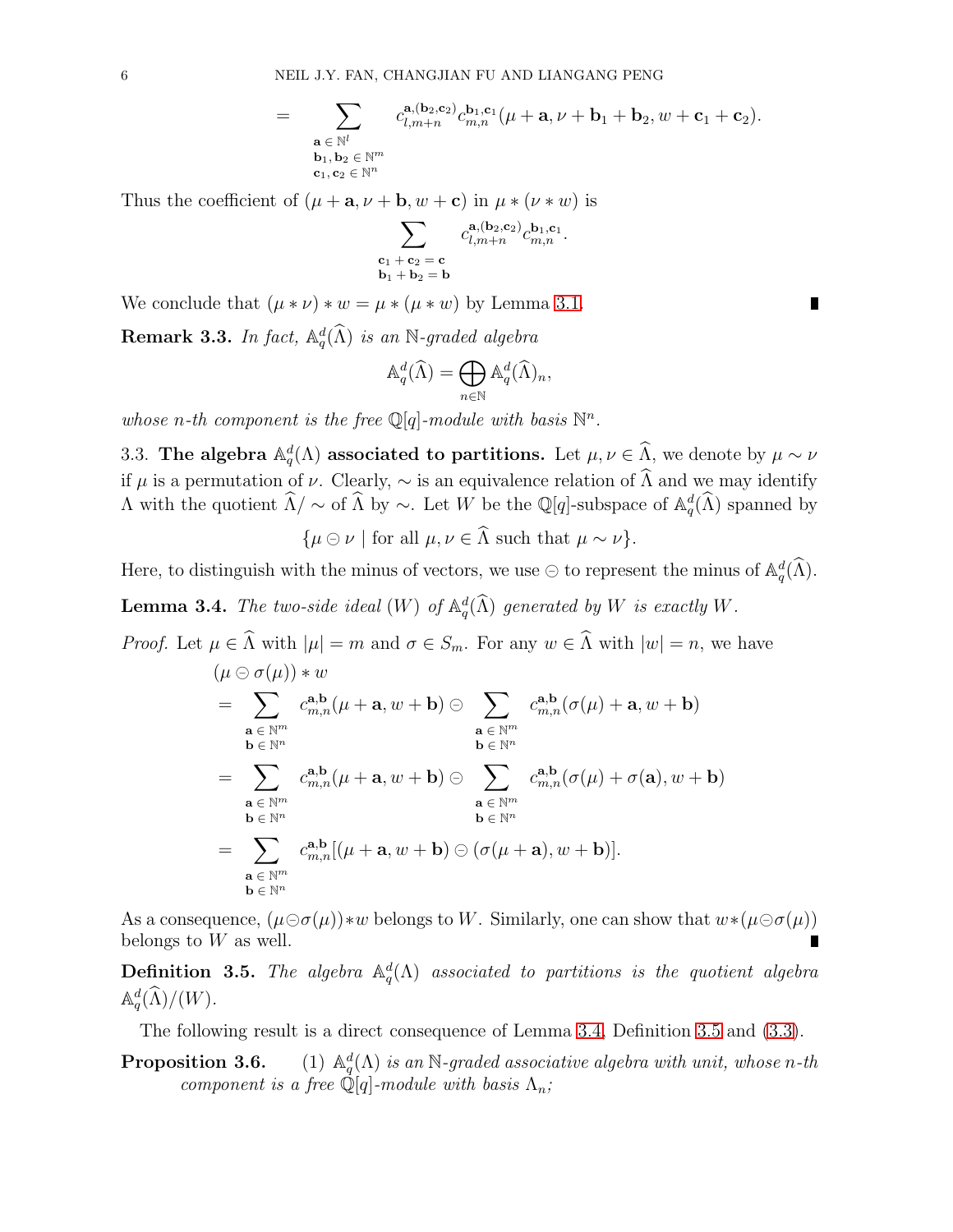$$
=\sum\limits_{\substack{\mathbf{a}\,\in\,\mathbb{N}^l\\\mathbf{b}_1,\,\mathbf{b}_2\,\in\,\mathbb{N}^m\\\mathbf{c}_1,\,\mathbf{c}_2\,\in\,\mathbb{N}^n}}c_{l,m+n}^{\mathbf{a},(\mathbf{b}_2,\mathbf{c}_2)}c_{m,n}^{\mathbf{b}_1,\mathbf{c}_1}(\mu+\mathbf{a},\nu+\mathbf{b}_1+\mathbf{b}_2,w+\mathbf{c}_1+\mathbf{c}_2).
$$

Thus the coefficient of  $(\mu + \mathbf{a}, \nu + \mathbf{b}, w + \mathbf{c})$  in  $\mu * (\nu * w)$  is

$$
\sum_{\begin{array}{c} \mathbf{c}_1+\mathbf{c}_2=\mathbf{c}\\ \mathbf{b}_1+\mathbf{b}_2=\mathbf{b} \end{array}} c_{l,m+n}^{\mathbf{a},(\mathbf{b}_2,\mathbf{c}_2)} c_{m,n}^{\mathbf{b}_1,\mathbf{c}_1}.
$$

We conclude that  $(\mu * \nu) * w = \mu * (\mu * w)$  by Lemma [3.1.](#page-3-1)

**Remark 3.3.** In fact,  $\mathbb{A}_q^d(\widehat{\Lambda})$  is an N-graded algebra

$$
\mathbb{A}_q^d(\widehat{\Lambda}) = \bigoplus_{n \in \mathbb{N}} \mathbb{A}_q^d(\widehat{\Lambda})_n,
$$

whose n-th component is the free  $\mathbb{Q}[q]$ -module with basis  $\mathbb{N}^n$ .

3.3. The algebra  $\mathbb{A}_q^d(\Lambda)$  associated to partitions. Let  $\mu, \nu \in \widehat{\Lambda}$ , we denote by  $\mu \sim \nu$ if  $\mu$  is a permutation of  $\nu$ . Clearly,  $\sim$  is an equivalence relation of  $\widehat{\Lambda}$  and we may identify A with the quotient  $\hat{\Lambda}/\sim$  of  $\hat{\Lambda}$  by  $\sim$ . Let W be the Q[q]-subspace of  $\mathbb{A}_q^d(\hat{\Lambda})$  spanned by

$$
\{\mu \odot \nu \mid \text{for all } \mu, \nu \in \widehat{\Lambda} \text{ such that } \mu \sim \nu\}.
$$

Here, to distinguish with the minus of vectors, we use  $\ominus$  to represent the minus of  $\mathbb{A}_q^d(\widehat{\Lambda})$ .

<span id="page-5-0"></span>**Lemma 3.4.** The two-side ideal  $(W)$  of  $\mathbb{A}_q^d(\widehat{\Lambda})$  generated by W is exactly W.

*Proof.* Let  $\mu \in \widehat{\Lambda}$  with  $|\mu| = m$  and  $\sigma \in S_m$ . For any  $w \in \widehat{\Lambda}$  with  $|w| = n$ , we have  $(\mu \ominus \sigma(\mu)) * w$ 

$$
= \sum_{\substack{\mathbf{a} \in \mathbb{N}^m \\ \mathbf{b} \in \mathbb{N}^n}} c_{m,n}^{\mathbf{a},\mathbf{b}}(\mu + \mathbf{a}, w + \mathbf{b}) \odot \sum_{\substack{\mathbf{a} \in \mathbb{N}^m \\ \mathbf{b} \in \mathbb{N}^n}} c_{m,n}^{\mathbf{a},\mathbf{b}}(\sigma(\mu) + \mathbf{a}, w + \mathbf{b})
$$
  
\n
$$
= \sum_{\substack{\mathbf{a} \in \mathbb{N}^m \\ \mathbf{b} \in \mathbb{N}^n}} c_{m,n}^{\mathbf{a},\mathbf{b}}(\mu + \mathbf{a}, w + \mathbf{b}) \odot \sum_{\substack{\mathbf{a} \in \mathbb{N}^m \\ \mathbf{b} \in \mathbb{N}^n}} c_{m,n}^{\mathbf{a},\mathbf{b}}(\sigma(\mu) + \sigma(\mathbf{a}), w + \mathbf{b})
$$
  
\n
$$
= \sum_{\substack{\mathbf{a} \in \mathbb{N}^m \\ \mathbf{b} \in \mathbb{N}^n}} c_{m,n}^{\mathbf{a},\mathbf{b}}[(\mu + \mathbf{a}, w + \mathbf{b}) \odot (\sigma(\mu + \mathbf{a}), w + \mathbf{b})].
$$

As a consequence,  $(\mu \ominus \sigma(\mu)) * w$  belongs to W. Similarly, one can show that  $w * (\mu \ominus \sigma(\mu))$ belongs to  $W$  as well.

<span id="page-5-1"></span>**Definition 3.5.** The algebra  $\mathbb{A}_q^d(\Lambda)$  associated to partitions is the quotient algebra  ${\mathbb A}^d_q(\widehat\Lambda)/ (W).$ 

The following result is a direct consequence of Lemma [3.4,](#page-5-0) Definition [3.5](#page-5-1) and [\(3.3\)](#page-4-0).

**Proposition 3.6.** (1) 
$$
\mathbb{A}_q^d(\Lambda)
$$
 is an N-graded associative algebra with unit, whose *n*-th component is a free  $\mathbb{Q}[q]$ -module with basis  $\Lambda_n$ ;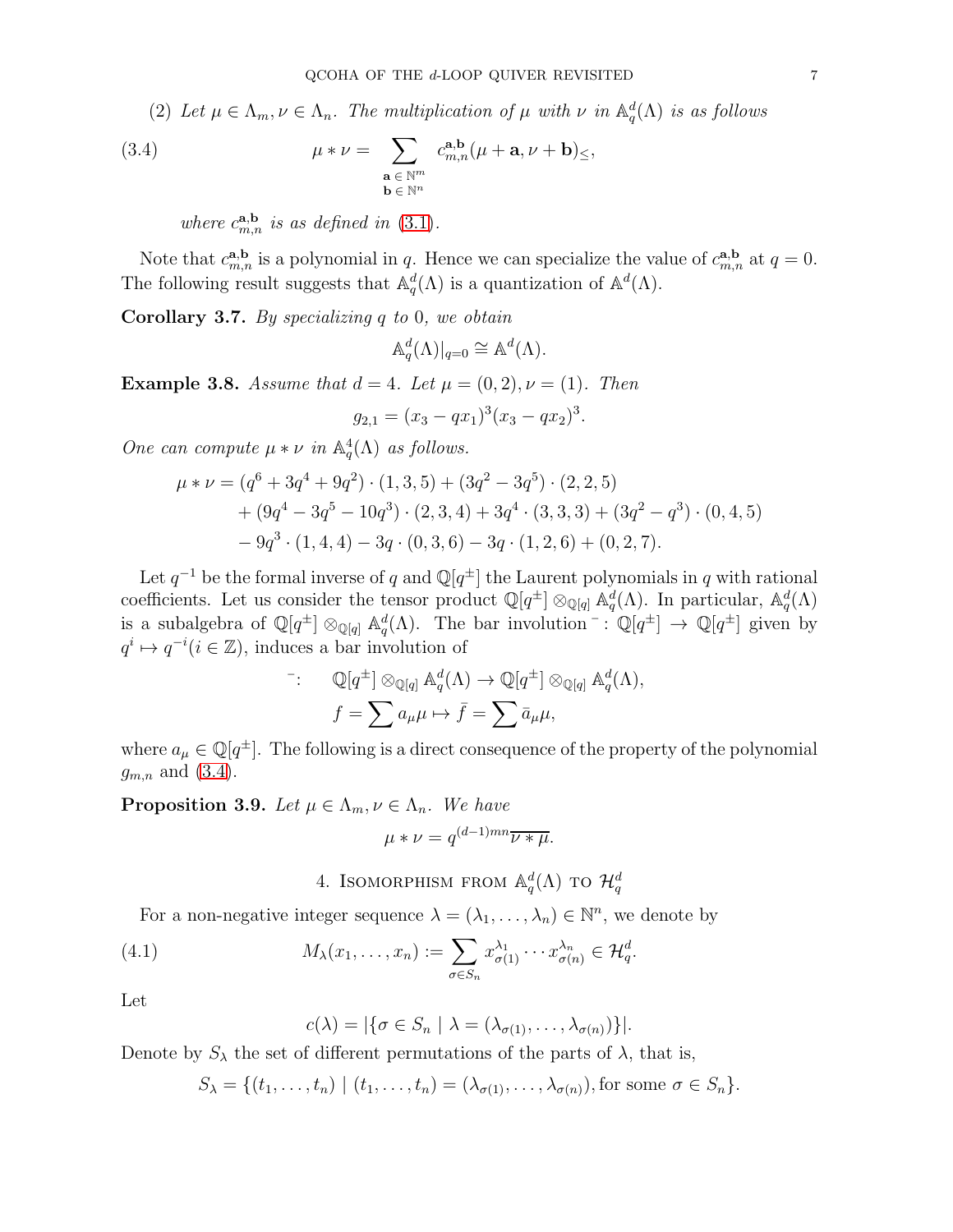(2) Let  $\mu \in \Lambda_m$ ,  $\nu \in \Lambda_n$ . The multiplication of  $\mu$  with  $\nu$  in  $\mathbb{A}_q^d(\Lambda)$  is as follows

(3.4) 
$$
\mu * \nu = \sum_{\substack{\mathbf{a} \in \mathbb{N}^m \\ \mathbf{b} \in \mathbb{N}^n}} c_{m,n}^{\mathbf{a},\mathbf{b}} (\mu + \mathbf{a}, \nu + \mathbf{b}) \leq,
$$

<span id="page-6-0"></span>where  $c_{m,n}^{\mathbf{a},\mathbf{b}}$  is as defined in [\(3.1\)](#page-2-0).

Note that  $c_{m,n}^{\mathbf{a},\mathbf{b}}$  is a polynomial in q. Hence we can specialize the value of  $c_{m,n}^{\mathbf{a},\mathbf{b}}$  at  $q=0$ . The following result suggests that  $\mathbb{A}^d_q(\Lambda)$  is a quantization of  $\mathbb{A}^d(\Lambda)$ .

**Corollary 3.7.** By specializing  $q$  to  $0$ , we obtain

$$
\mathbb{A}_q^d(\Lambda)|_{q=0} \cong \mathbb{A}^d(\Lambda).
$$

**Example 3.8.** Assume that  $d = 4$ . Let  $\mu = (0, 2), \nu = (1)$ . Then

$$
g_{2,1} = (x_3 - qx_1)^3 (x_3 - qx_2)^3.
$$

One can compute  $\mu * \nu$  in  $\mathbb{A}^4_q(\Lambda)$  as follows.

$$
\mu * \nu = (q^6 + 3q^4 + 9q^2) \cdot (1,3,5) + (3q^2 - 3q^5) \cdot (2,2,5) \n+ (9q^4 - 3q^5 - 10q^3) \cdot (2,3,4) + 3q^4 \cdot (3,3,3) + (3q^2 - q^3) \cdot (0,4,5) \n- 9q^3 \cdot (1,4,4) - 3q \cdot (0,3,6) - 3q \cdot (1,2,6) + (0,2,7).
$$

Let  $q^{-1}$  be the formal inverse of q and  $\mathbb{Q}[q^{\pm}]$  the Laurent polynomials in q with rational coefficients. Let us consider the tensor product  $\mathbb{Q}[q^{\pm}] \otimes_{\mathbb{Q}[q]} \mathbb{A}_q^d(\Lambda)$ . In particular,  $\mathbb{A}_q^d(\Lambda)$ is a subalgebra of  $\mathbb{Q}[q^{\pm}] \otimes_{\mathbb{Q}[q]} \mathbb{A}_q^d(\Lambda)$ . The bar involution  $\bar{\mathbb{Q}}[\cdot] \to \mathbb{Q}[q^{\pm}]$  given by  $q^i \mapsto q^{-i} (i \in \mathbb{Z})$ , induces a bar involution of

$$
\begin{aligned}\n\overline{\mathbb{Q}}[q^{\pm}] \otimes_{\mathbb{Q}[q]} \mathbb{A}_q^d(\Lambda) \to \mathbb{Q}[q^{\pm}] \otimes_{\mathbb{Q}[q]} \mathbb{A}_q^d(\Lambda), \\
f &= \sum a_{\mu} \mu \mapsto \bar{f} = \sum \bar{a}_{\mu} \mu,\n\end{aligned}
$$

where  $a_{\mu} \in \mathbb{Q}[q^{\pm}]$ . The following is a direct consequence of the property of the polynomial  $g_{m,n}$  and  $(3.4)$ .

**Proposition 3.9.** Let  $\mu \in \Lambda_m$ ,  $\nu \in \Lambda_n$ . We have  $\mu * \nu = q^{(d-1)mn} \overline{\nu * \mu}.$ 

4. ISOMORPHISM FROM  $\mathbb{A}^d_q(\Lambda)$  to  $\mathcal{H}^d_q$ 

For a non-negative integer sequence  $\lambda = (\lambda_1, \dots, \lambda_n) \in \mathbb{N}^n$ , we denote by

<span id="page-6-1"></span>(4.1) 
$$
M_{\lambda}(x_1,\ldots,x_n) := \sum_{\sigma \in S_n} x_{\sigma(1)}^{\lambda_1} \cdots x_{\sigma(n)}^{\lambda_n} \in \mathcal{H}_q^d.
$$

Let

$$
c(\lambda) = |\{\sigma \in S_n \mid \lambda = (\lambda_{\sigma(1)}, \ldots, \lambda_{\sigma(n)})\}|.
$$

Denote by  $S_{\lambda}$  the set of different permutations of the parts of  $\lambda$ , that is,

$$
S_{\lambda} = \{ (t_1, \ldots, t_n) \mid (t_1, \ldots, t_n) = (\lambda_{\sigma(1)}, \ldots, \lambda_{\sigma(n)}) \text{, for some } \sigma \in S_n \}.
$$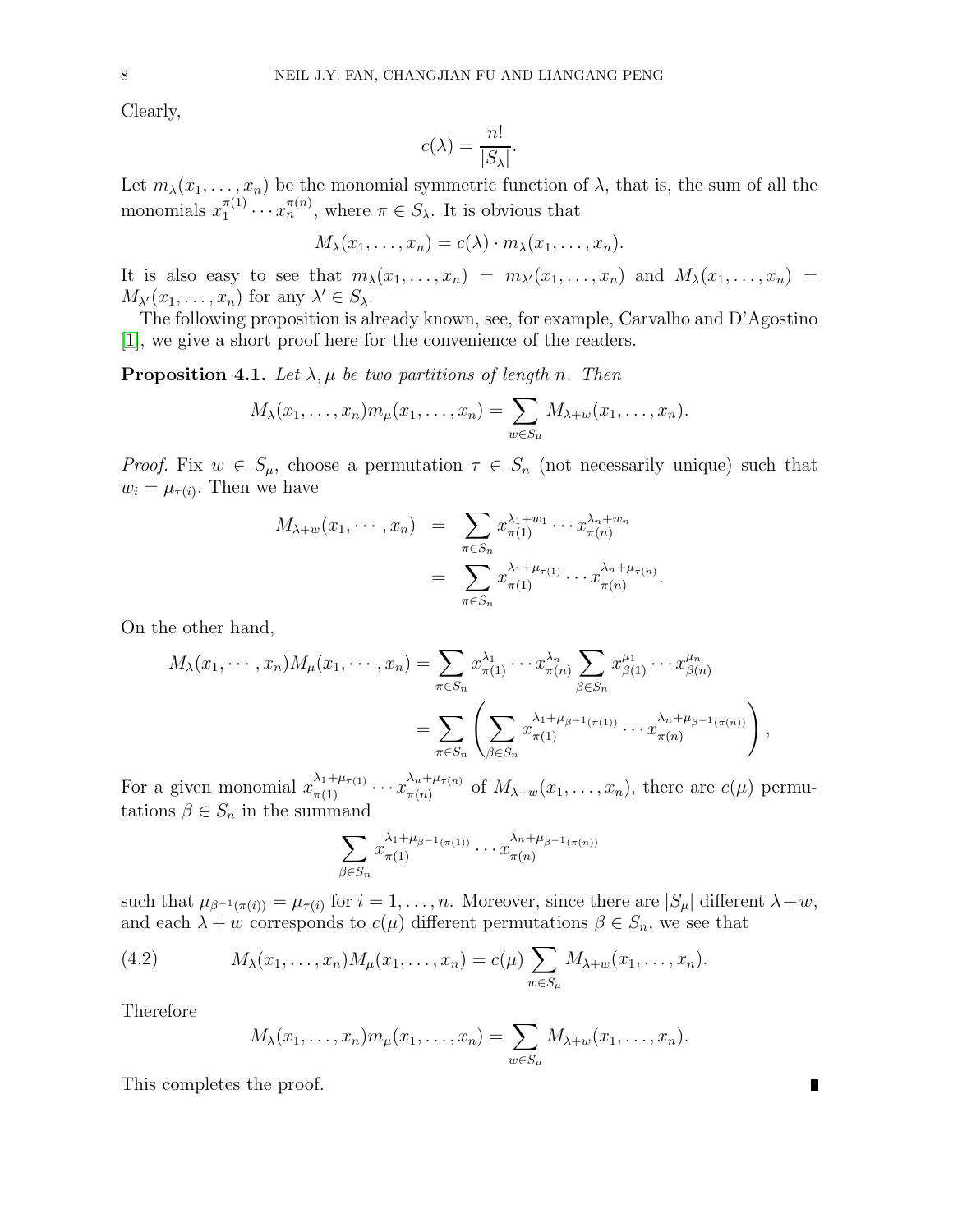Clearly,

$$
c(\lambda) = \frac{n!}{|S_{\lambda}|}.
$$

Let  $m_{\lambda}(x_1,\ldots,x_n)$  be the monomial symmetric function of  $\lambda$ , that is, the sum of all the monomials  $x_1^{\pi(1)}$  $\pi_1^{(\pi_1)} \cdots \pi_n^{(\pi_n)}$ , where  $\pi \in S_\lambda$ . It is obvious that

$$
M_{\lambda}(x_1,\ldots,x_n)=c(\lambda)\cdot m_{\lambda}(x_1,\ldots,x_n).
$$

It is also easy to see that  $m_\lambda(x_1,\ldots,x_n) = m_{\lambda'}(x_1,\ldots,x_n)$  and  $M_\lambda(x_1,\ldots,x_n) =$  $M_{\lambda'}(x_1,\ldots,x_n)$  for any  $\lambda' \in S_{\lambda}$ .

The following proposition is already known, see, for example, Carvalho and D'Agostino [\[1\]](#page-10-2), we give a short proof here for the convenience of the readers.

<span id="page-7-0"></span>**Proposition 4.1.** Let  $\lambda, \mu$  be two partitions of length n. Then

$$
M_{\lambda}(x_1,\ldots,x_n)m_{\mu}(x_1,\ldots,x_n)=\sum_{w\in S_{\mu}}M_{\lambda+w}(x_1,\ldots,x_n).
$$

*Proof.* Fix  $w \in S_{\mu}$ , choose a permutation  $\tau \in S_n$  (not necessarily unique) such that  $w_i = \mu_{\tau(i)}$ . Then we have

$$
M_{\lambda+w}(x_1, \dots, x_n) = \sum_{\pi \in S_n} x_{\pi(1)}^{\lambda_1+w_1} \dots x_{\pi(n)}^{\lambda_n+w_n}
$$
  
= 
$$
\sum_{\pi \in S_n} x_{\pi(1)}^{\lambda_1+\mu_{\pi(1)}} \dots x_{\pi(n)}^{\lambda_n+\mu_{\pi(n)}}
$$

.

On the other hand,

$$
M_{\lambda}(x_1,\dots,x_n)M_{\mu}(x_1,\dots,x_n) = \sum_{\pi \in S_n} x_{\pi(1)}^{\lambda_1} \cdots x_{\pi(n)}^{\lambda_n} \sum_{\beta \in S_n} x_{\beta(1)}^{\mu_1} \cdots x_{\beta(n)}^{\mu_n}
$$
  
= 
$$
\sum_{\pi \in S_n} \left( \sum_{\beta \in S_n} x_{\pi(1)}^{\lambda_1 + \mu_{\beta-1}(\pi(1))} \cdots x_{\pi(n)}^{\lambda_n + \mu_{\beta-1}(\pi(n))} \right),
$$

For a given monomial  $x_{\pi(1)}^{\lambda_1+\mu_{\tau(1)}} \cdots x_{\pi(n)}^{\lambda_n+\mu_{\tau(n)}}$  $\int_{\pi(n)}^{\lambda_n+\mu_{\tau(n)}}$  of  $M_{\lambda+w}(x_1,\ldots,x_n)$ , there are  $c(\mu)$  permutations  $\beta \in S_n$  in the summand

$$
\sum_{\beta \in S_n} x_{\pi(1)}^{\lambda_1 + \mu_{\beta^{-1}(\pi(1))}} \cdots x_{\pi(n)}^{\lambda_n + \mu_{\beta^{-1}(\pi(n))}}
$$

such that  $\mu_{\beta^{-1}(\pi(i))} = \mu_{\tau(i)}$  for  $i = 1, \ldots, n$ . Moreover, since there are  $|S_{\mu}|$  different  $\lambda + w$ , and each  $\lambda + w$  corresponds to  $c(\mu)$  different permutations  $\beta \in S_n$ , we see that

(4.2) 
$$
M_{\lambda}(x_1,...,x_n)M_{\mu}(x_1,...,x_n) = c(\mu) \sum_{w \in S_{\mu}} M_{\lambda+w}(x_1,...,x_n).
$$

Therefore

$$
M_{\lambda}(x_1,\ldots,x_n)m_{\mu}(x_1,\ldots,x_n)=\sum_{w\in S_{\mu}}M_{\lambda+w}(x_1,\ldots,x_n).
$$

This completes the proof.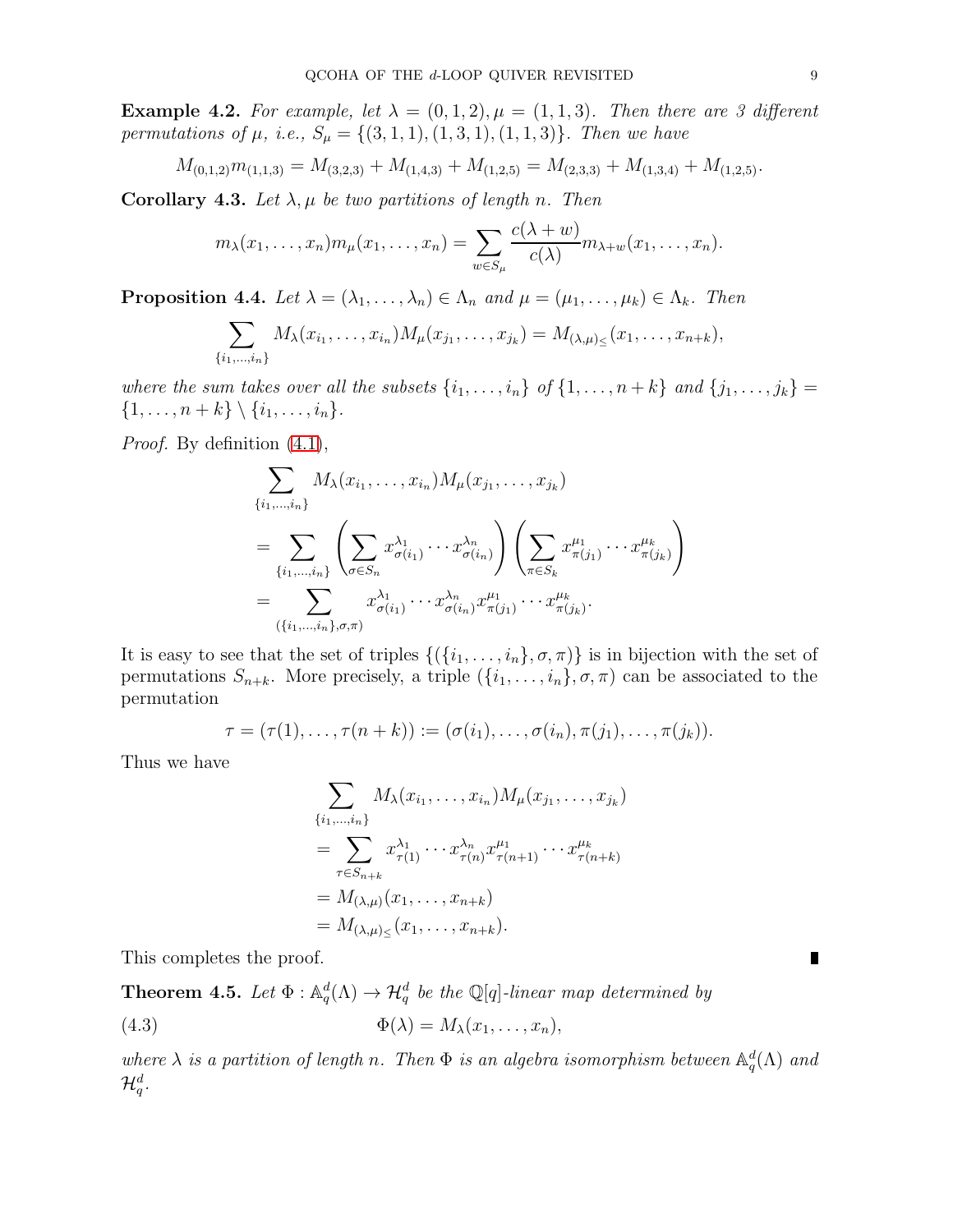**Example 4.2.** For example, let  $\lambda = (0, 1, 2), \mu = (1, 1, 3)$ . Then there are 3 different permutations of  $\mu$ , i.e.,  $S_{\mu} = \{(3,1,1), (1,3,1), (1,1,3)\}.$  Then we have

$$
M_{(0,1,2)}m_{(1,1,3)} = M_{(3,2,3)} + M_{(1,4,3)} + M_{(1,2,5)} = M_{(2,3,3)} + M_{(1,3,4)} + M_{(1,2,5)}.
$$

Corollary 4.3. Let  $\lambda, \mu$  be two partitions of length n. Then

$$
m_{\lambda}(x_1,\ldots,x_n)m_{\mu}(x_1,\ldots,x_n)=\sum_{w\in S_{\mu}}\frac{c(\lambda+w)}{c(\lambda)}m_{\lambda+w}(x_1,\ldots,x_n).
$$

<span id="page-8-0"></span>**Proposition 4.4.** Let  $\lambda = (\lambda_1, \ldots, \lambda_n) \in \Lambda_n$  and  $\mu = (\mu_1, \ldots, \mu_k) \in \Lambda_k$ . Then

$$
\sum_{\{i_1,\dots,i_n\}} M_{\lambda}(x_{i_1},\dots,x_{i_n}) M_{\mu}(x_{j_1},\dots,x_{j_k}) = M_{(\lambda,\mu)_\leq}(x_1,\dots,x_{n+k}),
$$

where the sum takes over all the subsets  $\{i_1, \ldots, i_n\}$  of  $\{1, \ldots, n+k\}$  and  $\{j_1, \ldots, j_k\}$  $\{1, \ldots, n+k\} \setminus \{i_1, \ldots, i_n\}.$ 

Proof. By definition [\(4.1\)](#page-6-1),

$$
\sum_{\{i_1,\dots,i_n\}} M_{\lambda}(x_{i_1},\dots,x_{i_n}) M_{\mu}(x_{j_1},\dots,x_{j_k})
$$
\n
$$
= \sum_{\{i_1,\dots,i_n\}} \left( \sum_{\sigma \in S_n} x_{\sigma(i_1)}^{\lambda_1} \cdots x_{\sigma(i_n)}^{\lambda_n} \right) \left( \sum_{\pi \in S_k} x_{\pi(j_1)}^{\mu_1} \cdots x_{\pi(j_k)}^{\mu_k} \right)
$$
\n
$$
= \sum_{(\{i_1,\dots,i_n\},\sigma,\pi)} x_{\sigma(i_1)}^{\lambda_1} \cdots x_{\sigma(i_n)}^{\lambda_n} x_{\pi(j_1)}^{\mu_1} \cdots x_{\pi(j_k)}^{\mu_k}.
$$

It is easy to see that the set of triples  $\{(\{i_1,\ldots,i_n\},\sigma,\pi)\}\$ is in bijection with the set of permutations  $S_{n+k}$ . More precisely, a triple  $(\{i_1, \ldots, i_n\}, \sigma, \pi)$  can be associated to the permutation

$$
\tau=(\tau(1),\ldots,\tau(n+k)):= (\sigma(i_1),\ldots,\sigma(i_n),\pi(j_1),\ldots,\pi(j_k)).
$$

Thus we have

$$
\sum_{\{i_1,\dots,i_n\}} M_{\lambda}(x_{i_1},\dots,x_{i_n}) M_{\mu}(x_{j_1},\dots,x_{j_k})
$$
  
= 
$$
\sum_{\tau \in S_{n+k}} x_{\tau(1)}^{\lambda_1} \cdots x_{\tau(n)}^{\lambda_n} x_{\tau(n+1)}^{\mu_1} \cdots x_{\tau(n+k)}^{\mu_k}
$$
  
= 
$$
M_{(\lambda,\mu)}(x_1,\dots,x_{n+k})
$$
  
= 
$$
M_{(\lambda,\mu)}_{\leq}(x_1,\dots,x_{n+k}).
$$

This completes the proof.

**Theorem 4.5.** Let  $\Phi : \mathbb{A}_q^d(\Lambda) \to \mathcal{H}_q^d$  be the Q[q]-linear map determined by

(4.3) 
$$
\Phi(\lambda) = M_{\lambda}(x_1, \ldots, x_n),
$$

where  $\lambda$  is a partition of length n. Then  $\Phi$  is an algebra isomorphism between  $\mathbb{A}_q^d(\Lambda)$  and  $\mathcal{H}^d_q.$ 

П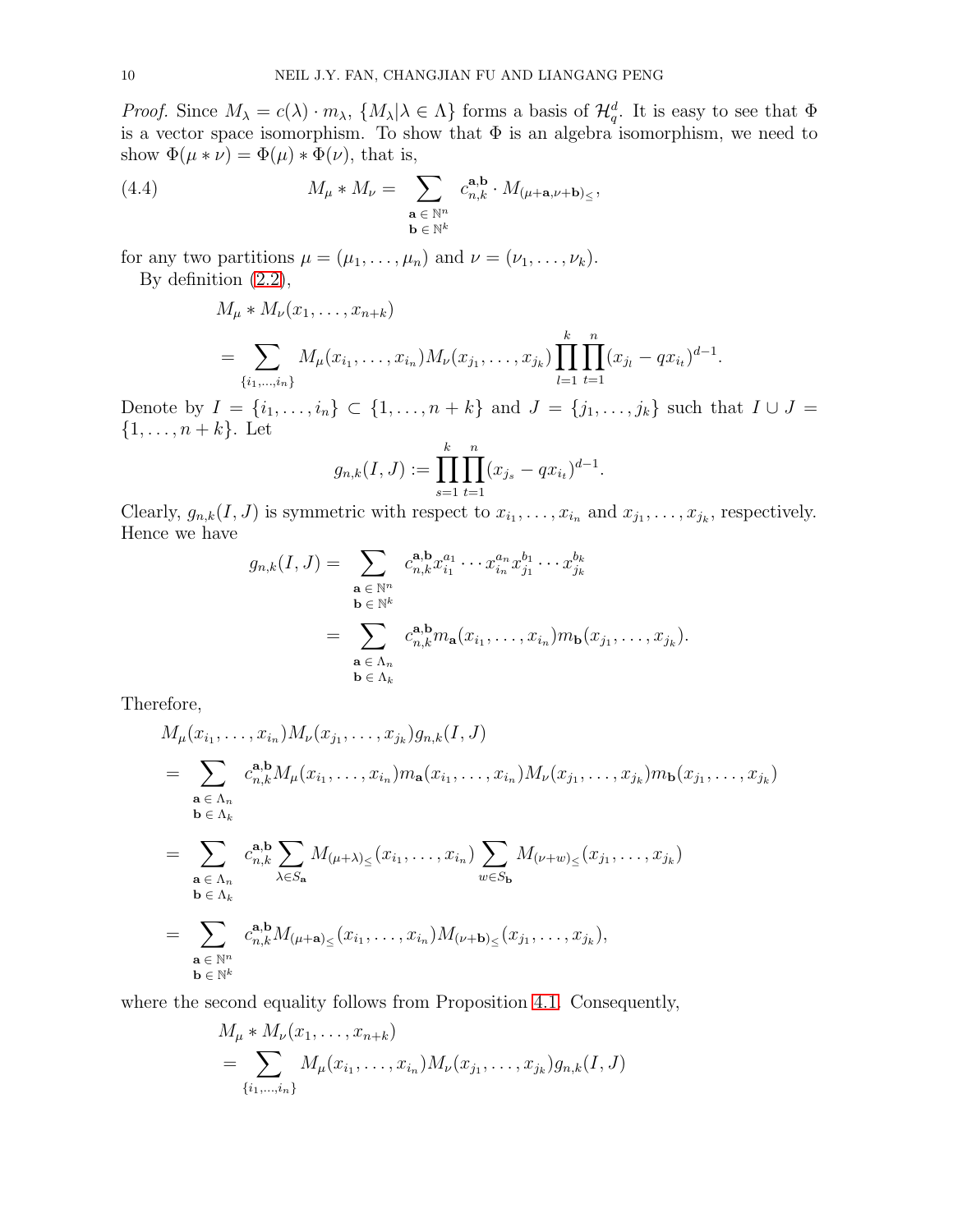*Proof.* Since  $M_{\lambda} = c(\lambda) \cdot m_{\lambda}$ ,  $\{M_{\lambda} | \lambda \in \Lambda\}$  forms a basis of  $\mathcal{H}_q^d$ . It is easy to see that  $\Phi$ is a vector space isomorphism. To show that  $\Phi$  is an algebra isomorphism, we need to show  $\Phi(\mu * \nu) = \Phi(\mu) * \Phi(\nu)$ , that is,

(4.4) 
$$
M_{\mu} * M_{\nu} = \sum_{\substack{\mathbf{a} \in \mathbb{N}^n \\ \mathbf{b} \in \mathbb{N}^k}} c_{n,k}^{\mathbf{a},\mathbf{b}} \cdot M_{(\mu + \mathbf{a}, \nu + \mathbf{b})_{\leq}},
$$

for any two partitions  $\mu = (\mu_1, \ldots, \mu_n)$  and  $\nu = (\nu_1, \ldots, \nu_k)$ . By definition [\(2.2\)](#page-1-0),

> $M_{\mu} * M_{\nu}(x_1, ..., x_{n+k})$  $=$   $\sum$  $\{i_1,...,i_n\}$  $M_\mu(x_{i_1},\ldots,x_{i_n})M_\nu(x_{j_1},\ldots,x_{j_k})\prod^k$  $_{l=1}$  $\prod^n$  $t=1$  $(x_{j_l} - qx_{i_t})^{d-1}.$

Denote by  $I = \{i_1, ..., i_n\} \subset \{1, ..., n+k\}$  and  $J = \{j_1, ..., j_k\}$  such that  $I \cup J =$  $\{1, \ldots, n+k\}$ . Let

$$
g_{n,k}(I,J) := \prod_{s=1}^k \prod_{t=1}^n (x_{j_s} - qx_{i_t})^{d-1}.
$$

Clearly,  $g_{n,k}(I, J)$  is symmetric with respect to  $x_{i_1}, \ldots, x_{i_n}$  and  $x_{j_1}, \ldots, x_{j_k}$ , respectively. Hence we have

$$
g_{n,k}(I,J) = \sum_{\substack{\mathbf{a} \in \mathbb{N}^n \\ \mathbf{b} \in \mathbb{N}^k}} c_{n,k}^{\mathbf{a},\mathbf{b}} x_{i_1}^{a_1} \cdots x_{i_n}^{a_n} x_{j_1}^{b_1} \cdots x_{j_k}^{b_k}
$$
  

$$
= \sum_{\substack{\mathbf{a} \in \Lambda_n \\ \mathbf{b} \in \Lambda_k}} c_{n,k}^{\mathbf{a},\mathbf{b}} m_{\mathbf{a}}(x_{i_1}, \ldots, x_{i_n}) m_{\mathbf{b}}(x_{j_1}, \ldots, x_{j_k}).
$$

Therefore,

$$
M_{\mu}(x_{i_1},\ldots,x_{i_n})M_{\nu}(x_{j_1},\ldots,x_{j_k})g_{n,k}(I,J)
$$
  
\n
$$
= \sum_{\mathbf{a}\in\Lambda_n} c_{n,k}^{\mathbf{a},\mathbf{b}}M_{\mu}(x_{i_1},\ldots,x_{i_n})m_{\mathbf{a}}(x_{i_1},\ldots,x_{i_n})M_{\nu}(x_{j_1},\ldots,x_{j_k})m_{\mathbf{b}}(x_{j_1},\ldots,x_{j_k})
$$
  
\n
$$
= \sum_{\mathbf{a}\in\Lambda_n} c_{n,k}^{\mathbf{a},\mathbf{b}}\sum_{\lambda\in S_{\mathbf{a}}} M_{(\mu+\lambda)\leq}(x_{i_1},\ldots,x_{i_n})\sum_{w\in S_{\mathbf{b}}} M_{(\nu+w)\leq}(x_{j_1},\ldots,x_{j_k})
$$
  
\n
$$
= \sum_{\mathbf{a}\in\mathbb{N}^n} c_{n,k}^{\mathbf{a},\mathbf{b}}M_{(\mu+\mathbf{a})\leq}(x_{i_1},\ldots,x_{i_n})M_{(\nu+\mathbf{b})\leq}(x_{j_1},\ldots,x_{j_k}),
$$
  
\n
$$
\mathbf{b}\in\mathbb{N}^k
$$

where the second equality follows from Proposition [4.1.](#page-7-0) Consequently,

$$
M_{\mu} * M_{\nu}(x_1, ..., x_{n+k})
$$
  
= 
$$
\sum_{\{i_1, ..., i_n\}} M_{\mu}(x_{i_1}, ..., x_{i_n}) M_{\nu}(x_{j_1}, ..., x_{j_k}) g_{n,k}(I, J)
$$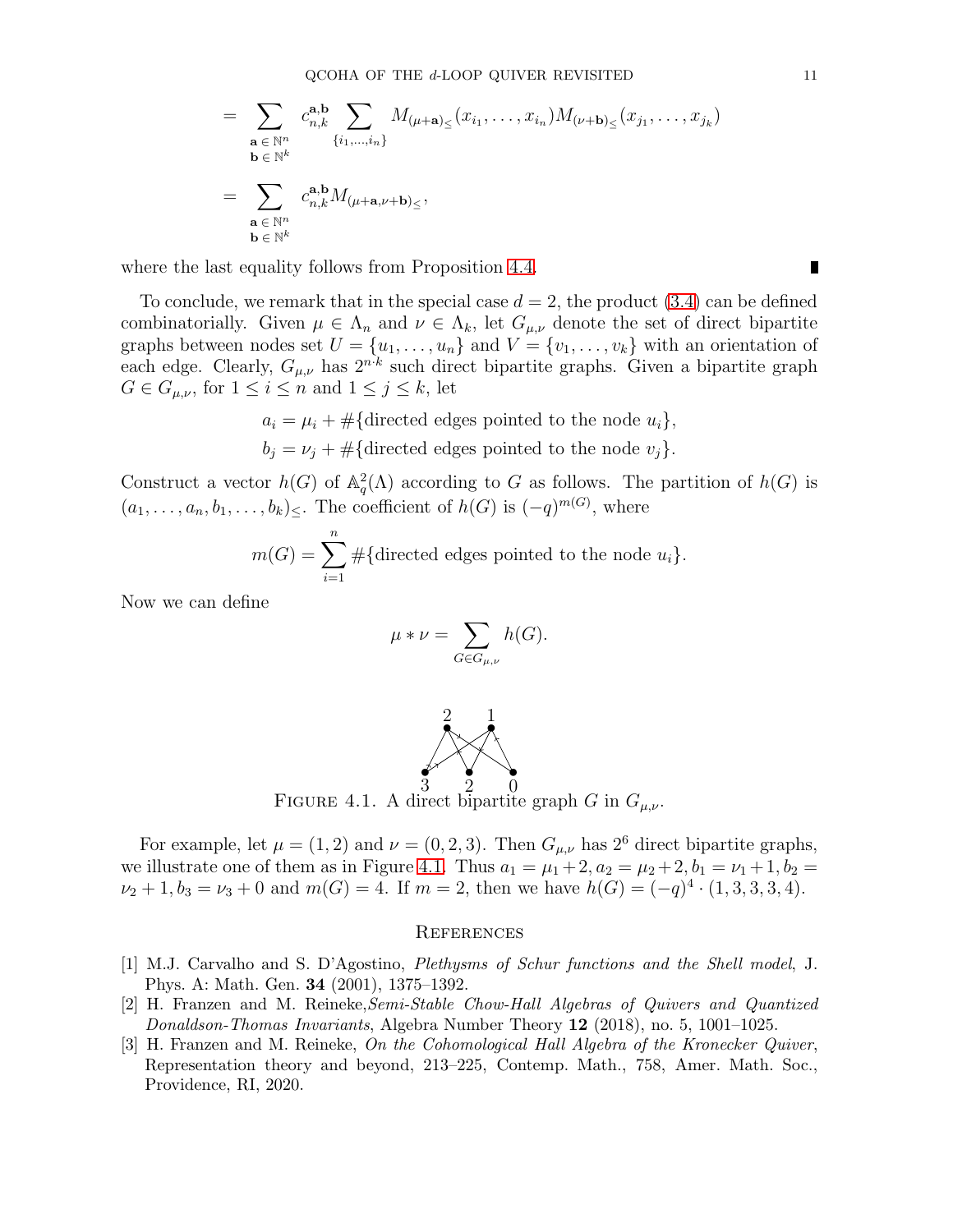$$
= \sum_{\substack{\mathbf{a} \in \mathbb{N}^n \\ \mathbf{b} \in \mathbb{N}^k}} c_{n,k}^{\mathbf{a},\mathbf{b}} \sum_{\{i_1,\dots,i_n\}} M_{(\mu+\mathbf{a})_{\leq}}(x_{i_1},\dots,x_{i_n}) M_{(\nu+\mathbf{b})_{\leq}}(x_{j_1},\dots,x_{j_k})
$$
  

$$
= \sum_{\substack{\mathbf{a} \in \mathbb{N}^n \\ \mathbf{b} \in \mathbb{N}^k}} c_{n,k}^{\mathbf{a},\mathbf{b}} M_{(\mu+\mathbf{a},\nu+\mathbf{b})_{\leq}},
$$

where the last equality follows from Proposition [4.4.](#page-8-0)

To conclude, we remark that in the special case  $d = 2$ , the product  $(3.4)$  can be defined combinatorially. Given  $\mu \in \Lambda_n$  and  $\nu \in \Lambda_k$ , let  $G_{\mu,\nu}$  denote the set of direct bipartite graphs between nodes set  $U = \{u_1, \ldots, u_n\}$  and  $V = \{v_1, \ldots, v_k\}$  with an orientation of each edge. Clearly,  $G_{\mu,\nu}$  has  $2^{n \cdot k}$  such direct bipartite graphs. Given a bipartite graph  $G \in G_{\mu,\nu}$ , for  $1 \leq i \leq n$  and  $1 \leq j \leq k$ , let

$$
a_i = \mu_i + #
$$
{directed edges pointed to the node  $u_i$ },  
 $b_j = \nu_j + #$ {directed edges pointed to the node  $v_j$ }.

Construct a vector  $h(G)$  of  $\mathbb{A}_q^2(\Lambda)$  according to G as follows. The partition of  $h(G)$  is  $(a_1, \ldots, a_n, b_1, \ldots, b_k)_{\leq}$ . The coefficient of  $h(G)$  is  $(-q)^{m(G)}$ , where

$$
m(G) = \sum_{i=1}^{n} #{\text{directed edges pointed to the node } u_i}.
$$

Now we can define

$$
\mu * \nu = \sum_{G \in G_{\mu,\nu}} h(G).
$$

<span id="page-10-3"></span>

FIGURE 4.1. A direct bipartite graph G in  $G_{\mu,\nu}$ .

For example, let  $\mu = (1, 2)$  and  $\nu = (0, 2, 3)$ . Then  $G_{\mu,\nu}$  has  $2^6$  direct bipartite graphs, we illustrate one of them as in Figure [4.1.](#page-10-3) Thus  $a_1 = \mu_1 + 2$ ,  $a_2 = \mu_2 + 2$ ,  $b_1 = \nu_1 + 1$ ,  $b_2 =$  $\nu_2 + 1, b_3 = \nu_3 + 0$  and  $m(G) = 4$ . If  $m = 2$ , then we have  $h(G) = (-q)^4 \cdot (1, 3, 3, 3, 4)$ .

### **REFERENCES**

- <span id="page-10-2"></span>[1] M.J. Carvalho and S. D'Agostino, Plethysms of Schur functions and the Shell model, J. Phys. A: Math. Gen. 34 (2001), 1375–1392.
- <span id="page-10-0"></span>[2] H. Franzen and M. Reineke,Semi-Stable Chow-Hall Algebras of Quivers and Quantized Donaldson-Thomas Invariants, Algebra Number Theory 12 (2018), no. 5, 1001–1025.
- <span id="page-10-1"></span>[3] H. Franzen and M. Reineke, On the Cohomological Hall Algebra of the Kronecker Quiver, Representation theory and beyond, 213–225, Contemp. Math., 758, Amer. Math. Soc., Providence, RI, 2020.

П